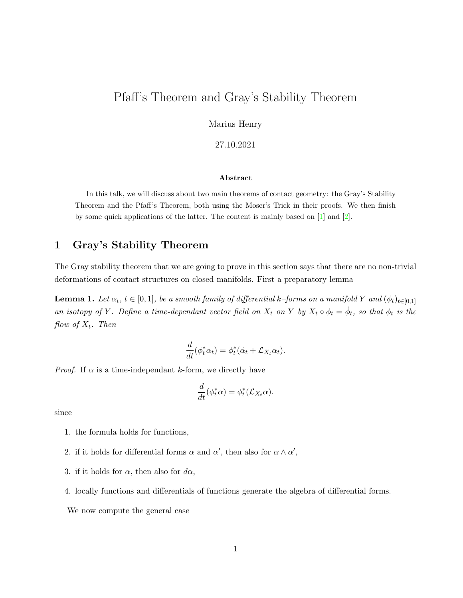# Pfaff's Theorem and Gray's Stability Theorem

Marius Henry

27.10.2021

#### Abstract

In this talk, we will discuss about two main theorems of contact geometry: the Gray's Stability Theorem and the Pfaff's Theorem, both using the Moser's Trick in their proofs. We then finish by some quick applications of the latter. The content is mainly based on  $[1]$  and  $[2]$ .

### 1 Gray's Stability Theorem

The Gray stability theorem that we are going to prove in this section says that there are no non-trivial deformations of contact structures on closed manifolds. First a preparatory lemma

**Lemma 1.** Let  $\alpha_t$ ,  $t \in [0,1]$ , be a smooth family of differential k–forms on a manifold Y and  $(\phi_t)_{t\in[0,1]}$ an isotopy of Y. Define a time-dependant vector field on  $X_t$  on Y by  $X_t \circ \phi_t = \dot{\phi}_t$ , so that  $\phi_t$  is the flow of  $X_t$ . Then

$$
\frac{d}{dt}(\phi_t^*\alpha_t) = \phi_t^*(\dot{\alpha_t} + \mathcal{L}_{X_t}\alpha_t).
$$

*Proof.* If  $\alpha$  is a time-independant k-form, we directly have

$$
\frac{d}{dt}(\phi_t^*\alpha) = \phi_t^*(\mathcal{L}_{X_t}\alpha).
$$

since

- 1. the formula holds for functions,
- 2. if it holds for differential forms  $\alpha$  and  $\alpha'$ , then also for  $\alpha \wedge \alpha'$ ,
- 3. if it holds for  $\alpha$ , then also for  $d\alpha$ ,
- 4. locally functions and differentials of functions generate the algebra of differential forms.

We now compute the general case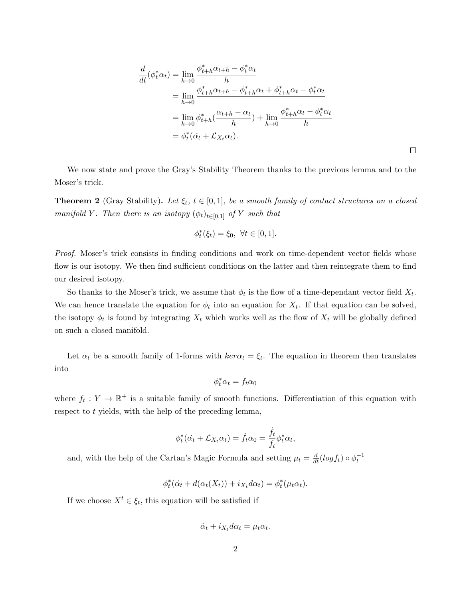$$
\frac{d}{dt}(\phi_t^* \alpha_t) = \lim_{h \to 0} \frac{\phi_{t+h}^* \alpha_{t+h} - \phi_t^* \alpha_t}{h}
$$
\n
$$
= \lim_{h \to 0} \frac{\phi_{t+h}^* \alpha_{t+h} - \phi_{t+h}^* \alpha_t + \phi_{t+h}^* \alpha_t - \phi_t^* \alpha_t}{h}
$$
\n
$$
= \lim_{h \to 0} \phi_{t+h}^* \left( \frac{\alpha_{t+h} - \alpha_t}{h} \right) + \lim_{h \to 0} \frac{\phi_{t+h}^* \alpha_t - \phi_t^* \alpha_t}{h}
$$
\n
$$
= \phi_t^* (\alpha_t + \mathcal{L}_{X_t} \alpha_t).
$$

 $\Box$ 

We now state and prove the Gray's Stability Theorem thanks to the previous lemma and to the Moser's trick.

**Theorem 2** (Gray Stability). Let  $\xi_t$ ,  $t \in [0,1]$ , be a smooth family of contact structures on a closed manifold Y. Then there is an isotopy  $(\phi_t)_{t\in[0,1]}$  of Y such that

$$
\phi_t^*(\xi_t) = \xi_0, \ \forall t \in [0, 1].
$$

Proof. Moser's trick consists in finding conditions and work on time-dependent vector fields whose flow is our isotopy. We then find sufficient conditions on the latter and then reintegrate them to find our desired isotopy.

So thanks to the Moser's trick, we assume that  $\phi_t$  is the flow of a time-dependant vector field  $X_t$ . We can hence translate the equation for  $\phi_t$  into an equation for  $X_t$ . If that equation can be solved, the isotopy  $\phi_t$  is found by integrating  $X_t$  which works well as the flow of  $X_t$  will be globally defined on such a closed manifold.

Let  $\alpha_t$  be a smooth family of 1-forms with  $\ker \alpha_t = \xi_t$ . The equation in theorem then translates into

$$
\phi_t^* \alpha_t = f_t \alpha_0
$$

where  $f_t: Y \to \mathbb{R}^+$  is a suitable family of smooth functions. Differentiation of this equation with respect to t yields, with the help of the preceding lemma,

$$
\phi_t^*(\dot{\alpha_t} + \mathcal{L}_{X_t} \alpha_t) = \dot{f}_t \alpha_0 = \frac{\dot{f}_t}{f_t} \phi_t^* \alpha_t,
$$

and, with the help of the Cartan's Magic Formula and setting  $\mu_t = \frac{d}{dt} (log f_t) \circ \phi_t^{-1}$ 

$$
\phi_t^*(\dot{\alpha_t} + d(\alpha_t(X_t)) + i_{X_t}d\alpha_t) = \phi_t^*(\mu_t \alpha_t).
$$

If we choose  $X^t \in \xi_t$ , this equation will be satisfied if

$$
\dot{\alpha}_t + i_{X_t} d\alpha_t = \mu_t \alpha_t.
$$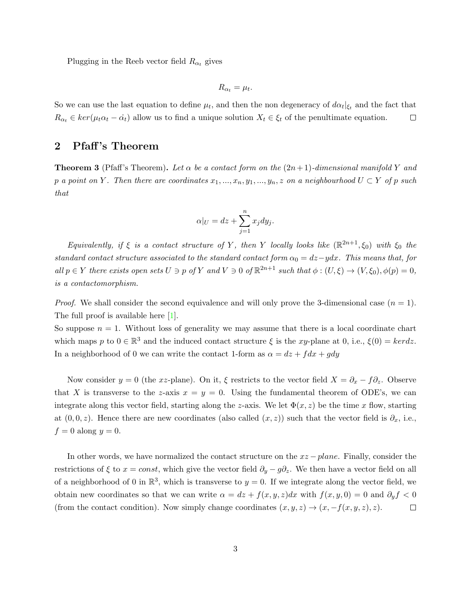Plugging in the Reeb vector field  $R_{\alpha_t}$  gives

$$
R_{\alpha_t} = \mu_t.
$$

So we can use the last equation to define  $\mu_t$ , and then the non degeneracy of  $d\alpha_t|_{\xi_t}$  and the fact that  $R_{\alpha_t} \in \ker(\mu_t \alpha_t - \dot{\alpha}_t)$  allow us to find a unique solution  $X_t \in \xi_t$  of the penultimate equation.  $\Box$ 

### 2 Pfaff's Theorem

**Theorem 3** (Pfaff's Theorem). Let  $\alpha$  be a contact form on the  $(2n+1)$ -dimensional manifold Y and p a point on Y. Then there are coordinates  $x_1, ..., x_n, y_1, ..., y_n, z$  on a neighbourhood  $U \subset Y$  of p such that

$$
\alpha|_U = dz + \sum_{j=1}^n x_j dy_j.
$$

Equivalently, if  $\xi$  is a contact structure of Y, then Y locally looks like  $(\mathbb{R}^{2n+1}, \xi_0)$  with  $\xi_0$  the standard contact structure associated to the standard contact form  $\alpha_0 = dz - ydx$ . This means that, for all  $p \in Y$  there exists open sets  $U \ni p$  of  $Y$  and  $V \ni 0$  of  $\mathbb{R}^{2n+1}$  such that  $\phi : (U, \xi) \to (V, \xi_0), \phi(p) = 0$ , is a contactomorphism.

*Proof.* We shall consider the second equivalence and will only prove the 3-dimensional case  $(n = 1)$ . The full proof is available here [\[1\]](#page-3-0).

So suppose  $n = 1$ . Without loss of generality we may assume that there is a local coordinate chart which maps p to  $0 \in \mathbb{R}^3$  and the induced contact structure  $\xi$  is the xy-plane at 0, i.e.,  $\xi(0) = ker dz$ . In a neighborhood of 0 we can write the contact 1-form as  $\alpha = dz + f dx + g dy$ 

Now consider y = 0 (the xz-plane). On it,  $\xi$  restricts to the vector field  $X = \partial_x - f \partial_z$ . Observe that X is transverse to the z-axis  $x = y = 0$ . Using the fundamental theorem of ODE's, we can integrate along this vector field, starting along the z-axis. We let  $\Phi(x, z)$  be the time x flow, starting at  $(0, 0, z)$ . Hence there are new coordinates (also called  $(x, z)$ ) such that the vector field is  $\partial_x$ , i.e.,  $f = 0$  along  $y = 0$ .

In other words, we have normalized the contact structure on the  $xz$  – plane. Finally, consider the restrictions of  $\xi$  to  $x = const$ , which give the vector field  $\partial_y - g\partial_z$ . We then have a vector field on all of a neighborhood of 0 in  $\mathbb{R}^3$ , which is transverse to  $y = 0$ . If we integrate along the vector field, we obtain new coordinates so that we can write  $\alpha = dz + f(x, y, z)dx$  with  $f(x, y, 0) = 0$  and  $\partial_y f < 0$ (from the contact condition). Now simply change coordinates  $(x, y, z) \rightarrow (x, -f(x, y, z), z)$ .  $\Box$